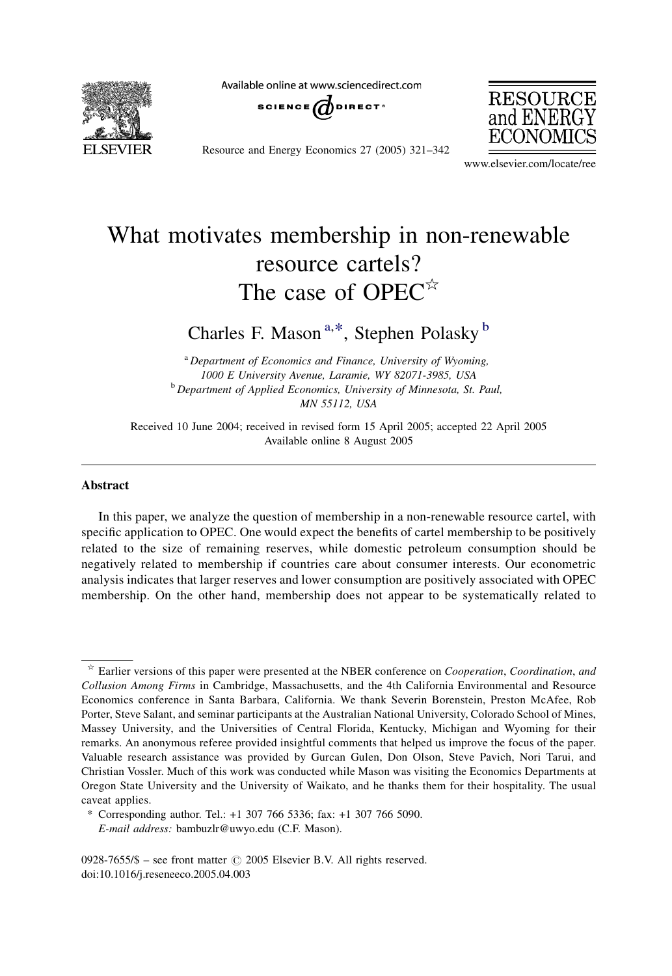

Available online at www.sciencedirect.com





Resource and Energy Economics 27 (2005) 321–342

www.elsevier.com/locate/ree

## What motivates membership in non-renewable resource cartels? The case of OPEC $\hat{z}$

Charles F. Mason<sup>a,\*</sup>, Stephen Polasky<sup>b</sup>

<sup>a</sup> Department of Economics and Finance, University of Wyoming, 1000 E University Avenue, Laramie, WY 82071-3985, USA <sup>b</sup> Department of Applied Economics, University of Minnesota, St. Paul, MN 55112, USA

Received 10 June 2004; received in revised form 15 April 2005; accepted 22 April 2005 Available online 8 August 2005

## Abstract

In this paper, we analyze the question of membership in a non-renewable resource cartel, with specific application to OPEC. One would expect the benefits of cartel membership to be positively related to the size of remaining reserves, while domestic petroleum consumption should be negatively related to membership if countries care about consumer interests. Our econometric analysis indicates that larger reserves and lower consumption are positively associated with OPEC membership. On the other hand, membership does not appear to be systematically related to

 $\dot{\tau}$  Earlier versions of this paper were presented at the NBER conference on *Cooperation, Coordination, and* Collusion Among Firms in Cambridge, Massachusetts, and the 4th California Environmental and Resource Economics conference in Santa Barbara, California. We thank Severin Borenstein, Preston McAfee, Rob Porter, Steve Salant, and seminar participants at the Australian National University, Colorado School of Mines, Massey University, and the Universities of Central Florida, Kentucky, Michigan and Wyoming for their remarks. An anonymous referee provided insightful comments that helped us improve the focus of the paper. Valuable research assistance was provided by Gurcan Gulen, Don Olson, Steve Pavich, Nori Tarui, and Christian Vossler. Much of this work was conducted while Mason was visiting the Economics Departments at Oregon State University and the University of Waikato, and he thanks them for their hospitality. The usual caveat applies.

<sup>\*</sup> Corresponding author. Tel.: +1 307 766 5336; fax: +1 307 766 5090. E-mail address: bambuzlr@uwyo.edu (C.F. Mason).

<sup>0928-7655/\$ –</sup> see front matter  $\odot$  2005 Elsevier B.V. All rights reserved. doi:10.1016/j.reseneeco.2005.04.003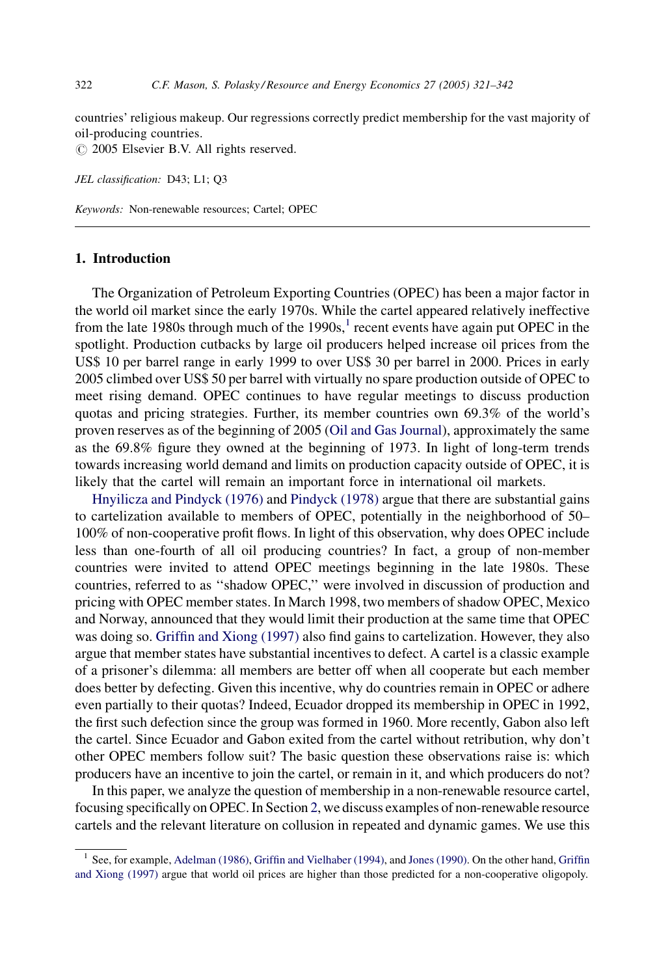countries' religious makeup. Our regressions correctly predict membership for the vast majority of oil-producing countries.

 $\odot$  2005 Elsevier B.V. All rights reserved.

JEL classification: D43; L1; Q3

Keywords: Non-renewable resources; Cartel; OPEC

## 1. Introduction

The Organization of Petroleum Exporting Countries (OPEC) has been a major factor in the world oil market since the early 1970s. While the cartel appeared relatively ineffective from the late 1980s through much of the 1990s,<sup>1</sup> recent events have again put OPEC in the spotlight. Production cutbacks by large oil producers helped increase oil prices from the US\$ 10 per barrel range in early 1999 to over US\$ 30 per barrel in 2000. Prices in early 2005 climbed over US\$ 50 per barrel with virtually no spare production outside of OPEC to meet rising demand. OPEC continues to have regular meetings to discuss production quotas and pricing strategies. Further, its member countries own 69.3% of the world's proven reserves as of the beginning of 2005 ([Oil and Gas Journal](#page--1-0)), approximately the same as the 69.8% figure they owned at the beginning of 1973. In light of long-term trends towards increasing world demand and limits on production capacity outside of OPEC, it is likely that the cartel will remain an important force in international oil markets.

[Hnyilicza and Pindyck \(1976\)](#page--1-0) and [Pindyck \(1978\)](#page--1-0) argue that there are substantial gains to cartelization available to members of OPEC, potentially in the neighborhood of 50– 100% of non-cooperative profit flows. In light of this observation, why does OPEC include less than one-fourth of all oil producing countries? In fact, a group of non-member countries were invited to attend OPEC meetings beginning in the late 1980s. These countries, referred to as ''shadow OPEC,'' were involved in discussion of production and pricing with OPEC member states. In March 1998, two members of shadow OPEC, Mexico and Norway, announced that they would limit their production at the same time that OPEC was doing so. [Griffin and Xiong \(1997\)](#page--1-0) also find gains to cartelization. However, they also argue that member states have substantial incentives to defect. A cartel is a classic example of a prisoner's dilemma: all members are better off when all cooperate but each member does better by defecting. Given this incentive, why do countries remain in OPEC or adhere even partially to their quotas? Indeed, Ecuador dropped its membership in OPEC in 1992, the first such defection since the group was formed in 1960. More recently, Gabon also left the cartel. Since Ecuador and Gabon exited from the cartel without retribution, why don't other OPEC members follow suit? The basic question these observations raise is: which producers have an incentive to join the cartel, or remain in it, and which producers do not?

In this paper, we analyze the question of membership in a non-renewable resource cartel, focusing specifically on OPEC. In Section [2](#page--1-0), we discuss examples of non-renewable resource cartels and the relevant literature on collusion in repeated and dynamic games. We use this

<sup>&</sup>lt;sup>1</sup> See, for example, [Adelman \(1986\)](#page--1-0), [Griffin and Vielhaber \(1994\),](#page--1-0) and [Jones \(1990\)](#page--1-0). On the other hand, [Griffin](#page--1-0) [and Xiong \(1997\)](#page--1-0) argue that world oil prices are higher than those predicted for a non-cooperative oligopoly.